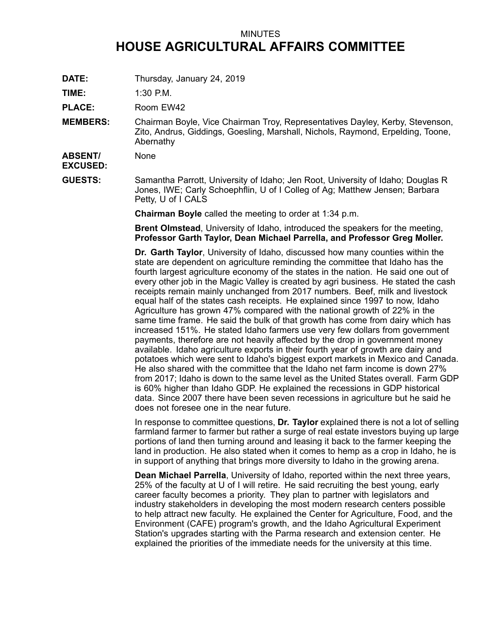## MINUTES **HOUSE AGRICULTURAL AFFAIRS COMMITTEE**

**DATE:** Thursday, January 24, 2019

**TIME:** 1:30 P.M.

PLACE: Room EW42

**MEMBERS:** Chairman Boyle, Vice Chairman Troy, Representatives Dayley, Kerby, Stevenson, Zito, Andrus, Giddings, Goesling, Marshall, Nichols, Raymond, Erpelding, Toone, Abernathy

**ABSENT/ EXCUSED:** None

**GUESTS:** Samantha Parrott, University of Idaho; Jen Root, University of Idaho; Douglas R Jones, IWE; Carly Schoephflin, U of I Colleg of Ag; Matthew Jensen; Barbara Petty, U of I CALS

**Chairman Boyle** called the meeting to order at 1:34 p.m.

**Brent Olmstead**, University of Idaho, introduced the speakers for the meeting, **Professor Garth Taylor, Dean Michael Parrella, and Professor Greg Moller.**

**Dr. Garth Taylor**, University of Idaho, discussed how many counties within the state are dependent on agriculture reminding the committee that Idaho has the fourth largest agriculture economy of the states in the nation. He said one out of every other job in the Magic Valley is created by agri business. He stated the cash receipts remain mainly unchanged from 2017 numbers. Beef, milk and livestock equal half of the states cash receipts. He explained since 1997 to now, Idaho Agriculture has grown 47% compared with the national growth of 22% in the same time frame. He said the bulk of that growth has come from dairy which has increased 151%. He stated Idaho farmers use very few dollars from government payments, therefore are not heavily affected by the drop in government money available. Idaho agriculture exports in their fourth year of growth are dairy and potatoes which were sent to Idaho's biggest export markets in Mexico and Canada. He also shared with the committee that the Idaho net farm income is down 27% from 2017; Idaho is down to the same level as the United States overall. Farm GDP is 60% higher than Idaho GDP. He explained the recessions in GDP historical data. Since 2007 there have been seven recessions in agriculture but he said he does not foresee one in the near future.

In response to committee questions, **Dr. Taylor** explained there is not <sup>a</sup> lot of selling farmland farmer to farmer but rather <sup>a</sup> surge of real estate investors buying up large portions of land then turning around and leasing it back to the farmer keeping the land in production. He also stated when it comes to hemp as <sup>a</sup> crop in Idaho, he is in support of anything that brings more diversity to Idaho in the growing arena.

**Dean Michael Parrella**, University of Idaho, reported within the next three years, 25% of the faculty at U of I will retire. He said recruiting the best young, early career faculty becomes <sup>a</sup> priority. They plan to partner with legislators and industry stakeholders in developing the most modern research centers possible to help attract new faculty. He explained the Center for Agriculture, Food, and the Environment (CAFE) program's growth, and the Idaho Agricultural Experiment Station's upgrades starting with the Parma research and extension center. He explained the priorities of the immediate needs for the university at this time.